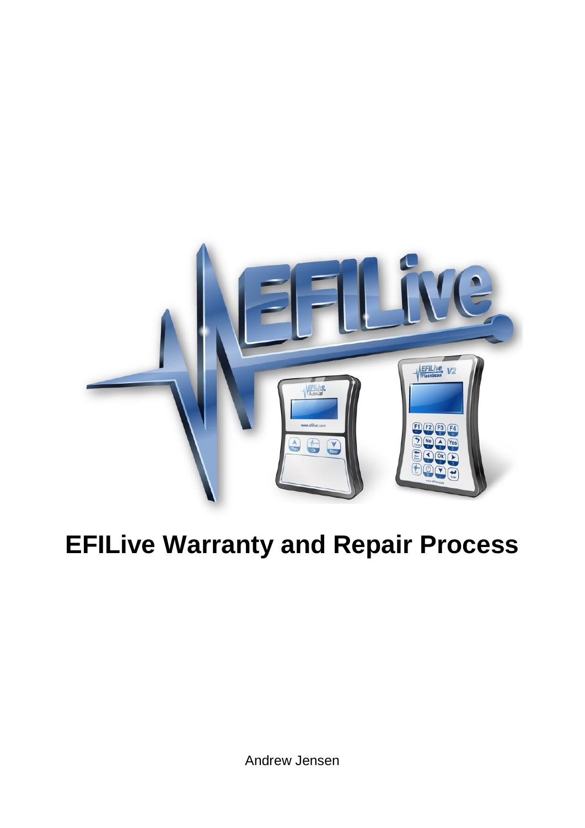

# **EFILive Warranty and Repair Process**

Andrew Jensen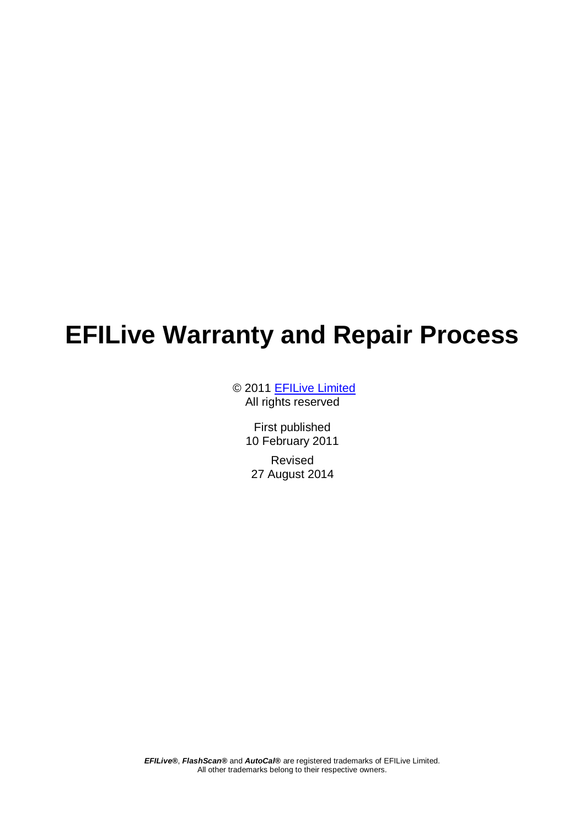## **EFILive Warranty and Repair Process**

© 2011 [EFILive Limited](http://www.efilive.com/) All rights reserved

> First published 10 February 2011 Revised 27 August 2014

*EFILive®*, *FlashScan®* and *AutoCal®* are registered trademarks of EFILive Limited. All other trademarks belong to their respective owners.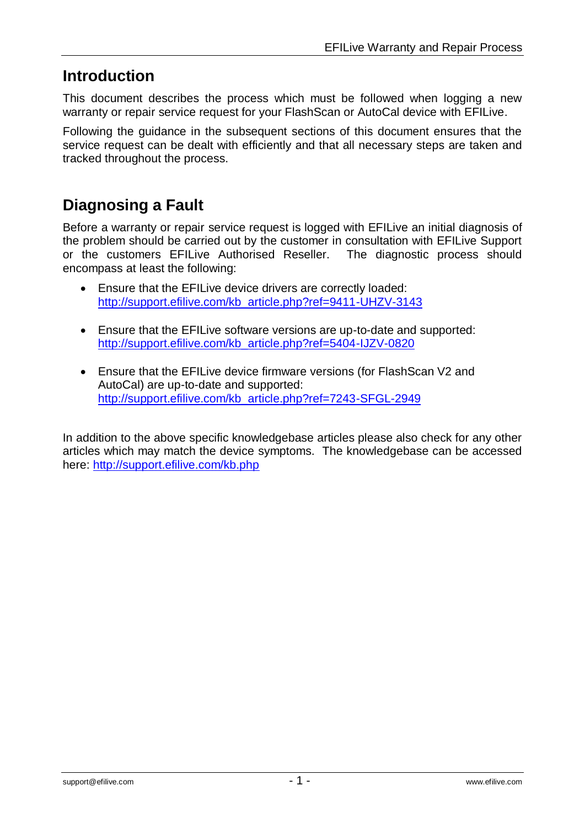## **Introduction**

This document describes the process which must be followed when logging a new warranty or repair service request for your FlashScan or AutoCal device with EFILive.

Following the guidance in the subsequent sections of this document ensures that the service request can be dealt with efficiently and that all necessary steps are taken and tracked throughout the process.

## **Diagnosing a Fault**

Before a warranty or repair service request is logged with EFILive an initial diagnosis of the problem should be carried out by the customer in consultation with EFILive Support or the customers EFILive Authorised Reseller. The diagnostic process should encompass at least the following:

- Ensure that the EFILive device drivers are correctly loaded: [http://support.efilive.com/kb\\_article.php?ref=9411-UHZV-3143](http://support.efilive.com/kb_article.php?ref=9411-UHZV-3143)
- Ensure that the EFILive software versions are up-to-date and supported: [http://support.efilive.com/kb\\_article.php?ref=5404-IJZV-0820](http://support.efilive.com/kb_article.php?ref=5404-IJZV-0820)
- Ensure that the EFILive device firmware versions (for FlashScan V2 and AutoCal) are up-to-date and supported: [http://support.efilive.com/kb\\_article.php?ref=7243-SFGL-2949](http://support.efilive.com/kb_article.php?ref=7243-SFGL-2949)

In addition to the above specific knowledgebase articles please also check for any other articles which may match the device symptoms. The knowledgebase can be accessed here:<http://support.efilive.com/kb.php>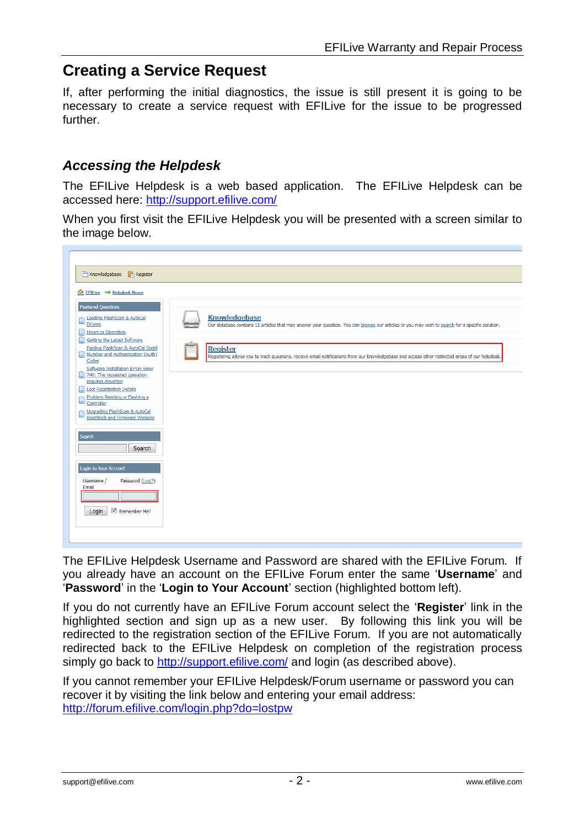### **Creating a Service Request**

If, after performing the initial diagnostics, the issue is still present it is going to be necessary to create a service request with EFILive for the issue to be progressed further.

#### *Accessing the Helpdesk*

The EFILive Helpdesk is a web based application. The EFILive Helpdesk can be accessed here:<http://support.efilive.com/>

When you first visit the EFILive Helpdesk you will be presented with a screen similar to the image below.



The EFILive Helpdesk Username and Password are shared with the EFILive Forum. If you already have an account on the EFILive Forum enter the same '**Username**' and '**Password**' in the '**Login to Your Account**' section (highlighted bottom left).

If you do not currently have an EFILive Forum account select the '**Register**' link in the highlighted section and sign up as a new user. By following this link you will be redirected to the registration section of the EFILive Forum. If you are not automatically redirected back to the EFILive Helpdesk on completion of the registration process simply go back to<http://support.efilive.com/> and login (as described above).

If you cannot remember your EFILive Helpdesk/Forum username or password you can recover it by visiting the link below and entering your email address: <http://forum.efilive.com/login.php?do=lostpw>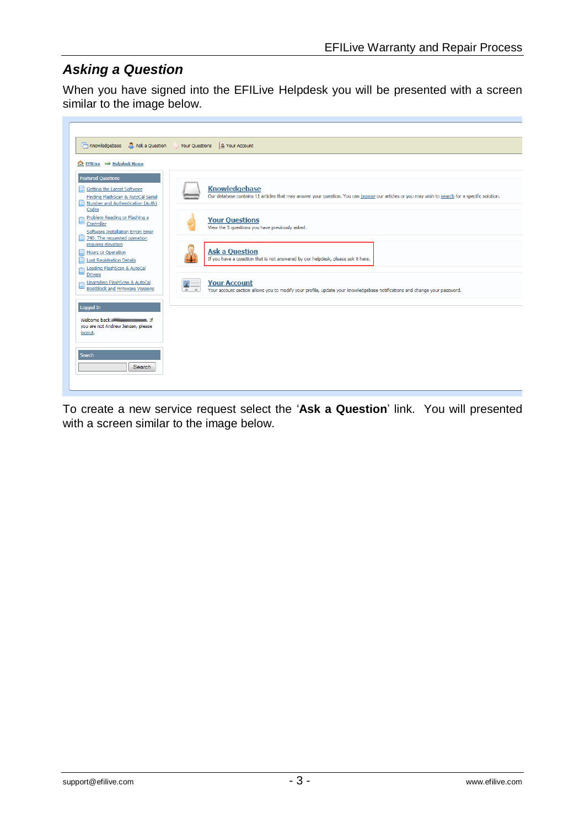#### *Asking a Question*

When you have signed into the EFILive Helpdesk you will be presented with a screen similar to the image below.



To create a new service request select the '**Ask a Question**' link. You will presented with a screen similar to the image below.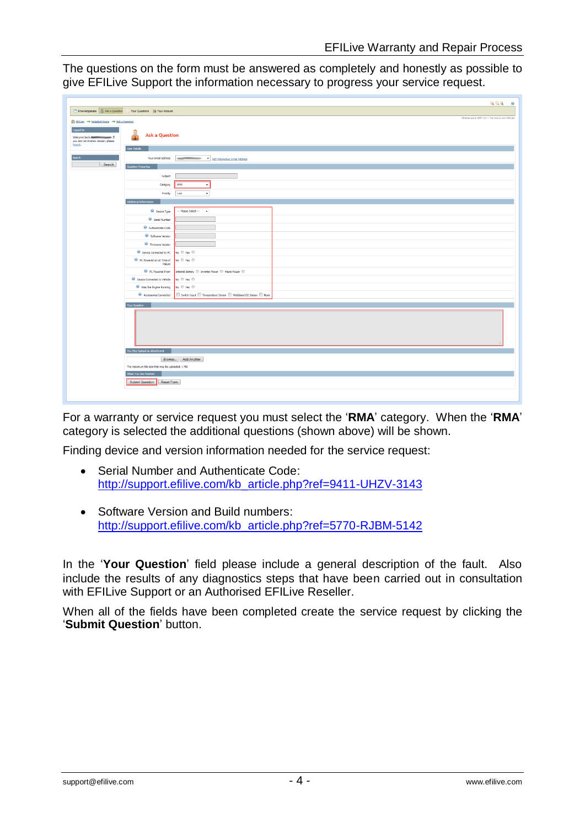The questions on the form must be answered as completely and honestly as possible to give EFILive Support the information necessary to progress your service request.

|                                                           |                                                         | QQQ<br>$\bullet$                                                 |
|-----------------------------------------------------------|---------------------------------------------------------|------------------------------------------------------------------|
| Knowledgebase <b>3.</b> Ask a Question                    | Your Questions   & Your Account                         |                                                                  |
| ter EFILive → Helpdesk Home → Ask a Question              |                                                         | All times are in GNT +12 :: The time is now 4:50 pm.             |
| Logged In<br>you are not Andrew Jensen, please<br>logout. | <b>Ask a Question</b>                                   |                                                                  |
|                                                           | User Details                                            |                                                                  |
| Search                                                    | Question Properties                                     | Your email address www.com view Add Alternative Email Address    |
|                                                           |                                                         |                                                                  |
|                                                           | Subject                                                 |                                                                  |
|                                                           | Category                                                | RMA                                                              |
|                                                           | Priority                                                | Low<br>$\star$                                                   |
|                                                           | Additional Information                                  |                                                                  |
|                                                           | <b>Device Type</b>                                      | --- Please Select --- -                                          |
|                                                           | <sup>6</sup> Serial Number                              |                                                                  |
|                                                           | $\Theta$ Authenticate Code                              |                                                                  |
|                                                           | Software Version                                        |                                                                  |
|                                                           | <sup>9</sup> Firmware Version<br>Device Connected to PC | No © Yes ©                                                       |
|                                                           | C PC Powered on at Time of<br>Failure                   | No © Yes ©                                                       |
|                                                           | PC Powered From                                         | Internal Battery C Inverter Power C Mains Power C                |
|                                                           | Device Connected to Vehicle                             | No © Yes ©                                                       |
|                                                           | Was the Engine Running                                  | No © Yes ©                                                       |
|                                                           | Accessories Connected                                   | Switch Input El Temperature Sensor El Wideband O2 Sensor El None |
|                                                           | Your Question                                           |                                                                  |
|                                                           |                                                         |                                                                  |
|                                                           | You May Upload an Attachment                            |                                                                  |
|                                                           |                                                         | Browse. Add Another                                              |
|                                                           | The maximum file size that may be uploaded: 1 MB        |                                                                  |
|                                                           | When You Are Finished                                   |                                                                  |
|                                                           | Submit Question<br>Reset Form                           |                                                                  |
|                                                           |                                                         |                                                                  |

For a warranty or service request you must select the '**RMA**' category. When the '**RMA**' category is selected the additional questions (shown above) will be shown.

Finding device and version information needed for the service request:

- Serial Number and Authenticate Code: [http://support.efilive.com/kb\\_article.php?ref=9411-UHZV-3143](http://support.efilive.com/kb_article.php?ref=9411-UHZV-3143)
- Software Version and Build numbers: [http://support.efilive.com/kb\\_article.php?ref=5770-RJBM-5142](http://support.efilive.com/kb_article.php?ref=5770-RJBM-5142)

In the '**Your Question**' field please include a general description of the fault. Also include the results of any diagnostics steps that have been carried out in consultation with EFILive Support or an Authorised EFILive Reseller.

When all of the fields have been completed create the service request by clicking the '**Submit Question**' button.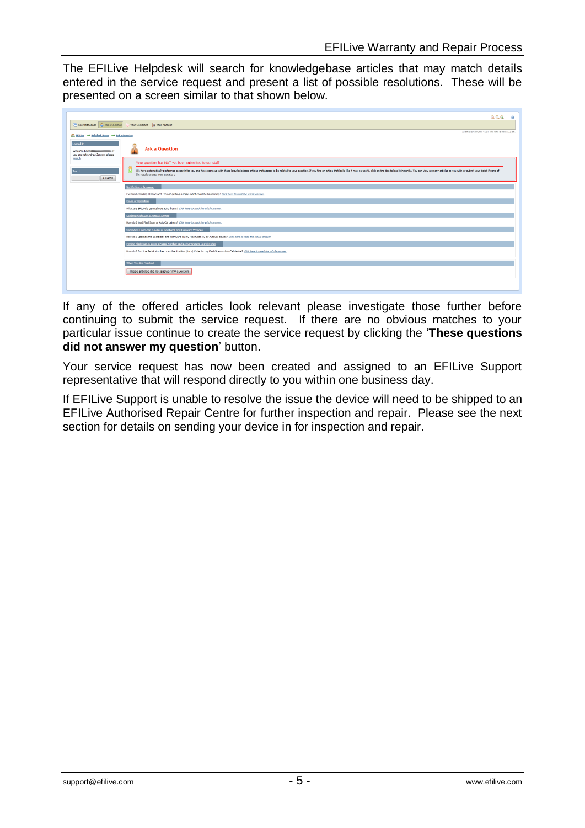The EFILive Helpdesk will search for knowledgebase articles that may match details entered in the service request and present a list of possible resolutions. These will be presented on a screen similar to that shown below.

|                                                                         | QQQ                                                                                                                                                                                                                                                                 |  |  |
|-------------------------------------------------------------------------|---------------------------------------------------------------------------------------------------------------------------------------------------------------------------------------------------------------------------------------------------------------------|--|--|
| Knowledgebase & Ask a Question<br>Your Questions   & Your Account       |                                                                                                                                                                                                                                                                     |  |  |
| Set EFILive → Helpdesk Home → Ask a Question                            | All times are in GMT +12 :: The time is now 5:12 pm.                                                                                                                                                                                                                |  |  |
| Logged In<br>Welcome back a<br>— 1<br>you are not Andrew Jensen, please | <b>Ask a Question</b>                                                                                                                                                                                                                                               |  |  |
| logout.                                                                 | Your question has NOT yet been submitted to our staff                                                                                                                                                                                                               |  |  |
| Search<br>Search                                                        | We have automatically performed a search for you and have come up with these knowledgebase articles that appear to be related to your question. If you find an article that looks like it may be useful, click on the title to<br>the results answer your question. |  |  |
|                                                                         | Not Getting a Response                                                                                                                                                                                                                                              |  |  |
|                                                                         | I've tried emailing EFILive and I'm not getting a reply, what could be happening? Click here to read the whole answer.                                                                                                                                              |  |  |
|                                                                         | Hours or Operation                                                                                                                                                                                                                                                  |  |  |
|                                                                         | What are EFILive's general operating hours? Click here to read the whole answer.                                                                                                                                                                                    |  |  |
|                                                                         | Loading FlashScan & AutoCal Drivers                                                                                                                                                                                                                                 |  |  |
|                                                                         | How do I load FlashScan or AutoCal drivers? Click here to read the whole answer.                                                                                                                                                                                    |  |  |
|                                                                         | Upgrading FlashScan & AutoCal Bootblock and Firmware Versions                                                                                                                                                                                                       |  |  |
|                                                                         | How do I upgrade the Bootblock and Firmware on my FlashScan V2 or AutoCal device? Click here to read the whole answer.                                                                                                                                              |  |  |
|                                                                         | Finding FlashScan & AutoCal Serial Number and Authentication (Auth) Codes                                                                                                                                                                                           |  |  |
|                                                                         | How do I find the Serial Number or Authentication (Auth) Code for my FlashScan or AutoCal device? Click here to read the whole answer.                                                                                                                              |  |  |
|                                                                         | When You Are Finished                                                                                                                                                                                                                                               |  |  |
|                                                                         | These articles did not answer my question                                                                                                                                                                                                                           |  |  |
|                                                                         |                                                                                                                                                                                                                                                                     |  |  |

If any of the offered articles look relevant please investigate those further before continuing to submit the service request. If there are no obvious matches to your particular issue continue to create the service request by clicking the '**These questions did not answer my question**' button.

Your service request has now been created and assigned to an EFILive Support representative that will respond directly to you within one business day.

If EFILive Support is unable to resolve the issue the device will need to be shipped to an EFILive Authorised Repair Centre for further inspection and repair. Please see the next section for details on sending your device in for inspection and repair.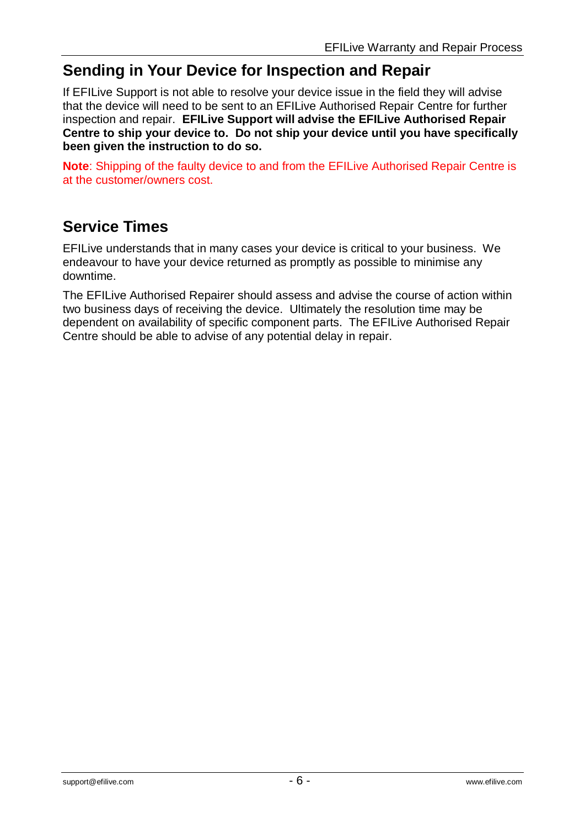## **Sending in Your Device for Inspection and Repair**

If EFILive Support is not able to resolve your device issue in the field they will advise that the device will need to be sent to an EFILive Authorised Repair Centre for further inspection and repair. **EFILive Support will advise the EFILive Authorised Repair Centre to ship your device to. Do not ship your device until you have specifically been given the instruction to do so.**

**Note**: Shipping of the faulty device to and from the EFILive Authorised Repair Centre is at the customer/owners cost.

## **Service Times**

EFILive understands that in many cases your device is critical to your business. We endeavour to have your device returned as promptly as possible to minimise any downtime.

The EFILive Authorised Repairer should assess and advise the course of action within two business days of receiving the device. Ultimately the resolution time may be dependent on availability of specific component parts. The EFILive Authorised Repair Centre should be able to advise of any potential delay in repair.